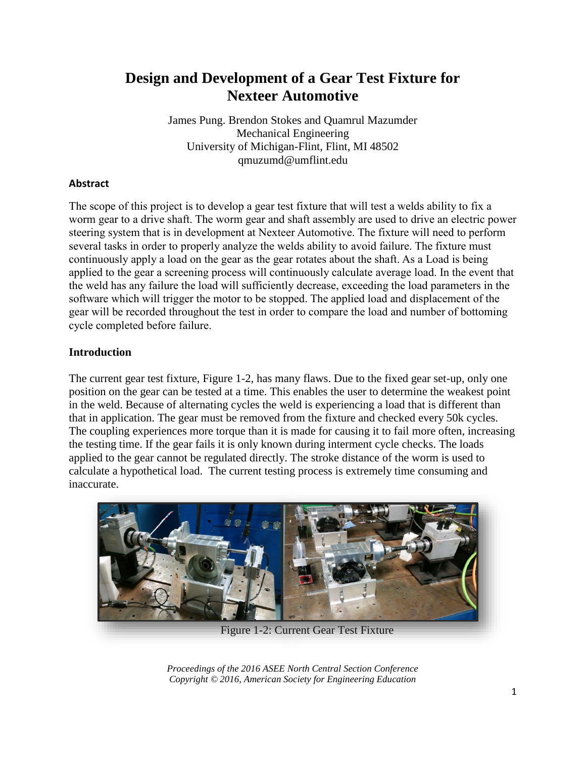# **Design and Development of a Gear Test Fixture for Nexteer Automotive**

James Pung. Brendon Stokes and Quamrul Mazumder Mechanical Engineering University of Michigan-Flint, Flint, MI 48502 qmuzumd@umflint.edu

## **Abstract**

The scope of this project is to develop a gear test fixture that will test a welds ability to fix a worm gear to a drive shaft. The worm gear and shaft assembly are used to drive an electric power steering system that is in development at Nexteer Automotive. The fixture will need to perform several tasks in order to properly analyze the welds ability to avoid failure. The fixture must continuously apply a load on the gear as the gear rotates about the shaft. As a Load is being applied to the gear a screening process will continuously calculate average load. In the event that the weld has any failure the load will sufficiently decrease, exceeding the load parameters in the software which will trigger the motor to be stopped. The applied load and displacement of the gear will be recorded throughout the test in order to compare the load and number of bottoming cycle completed before failure.

## **Introduction**

The current gear test fixture, Figure 1-2, has many flaws. Due to the fixed gear set-up, only one position on the gear can be tested at a time. This enables the user to determine the weakest point in the weld. Because of alternating cycles the weld is experiencing a load that is different than that in application. The gear must be removed from the fixture and checked every 50k cycles. The coupling experiences more torque than it is made for causing it to fail more often, increasing the testing time. If the gear fails it is only known during interment cycle checks. The loads applied to the gear cannot be regulated directly. The stroke distance of the worm is used to calculate a hypothetical load. The current testing process is extremely time consuming and inaccurate.

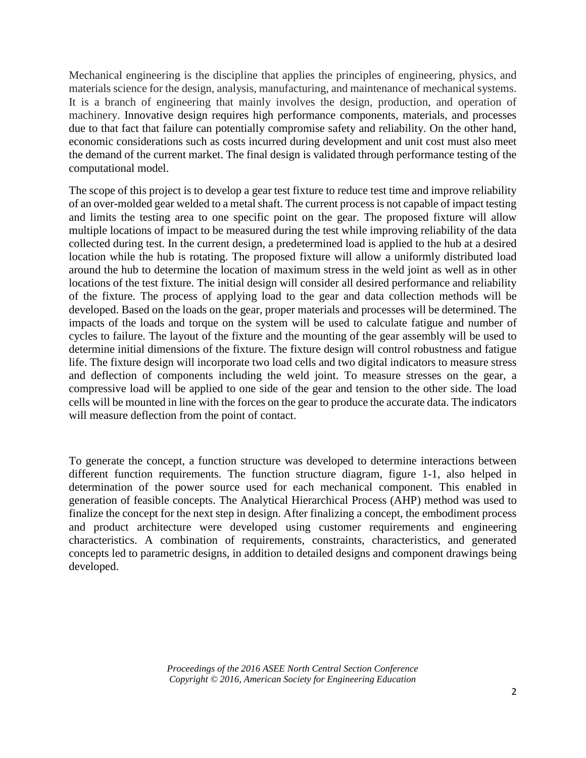Mechanical engineering is the discipline that applies the principles of engineering, physics, and materials science for the design, analysis, manufacturing, and maintenance of mechanical systems. It is a branch of engineering that mainly involves the design, production, and operation of machinery. Innovative design requires high performance components, materials, and processes due to that fact that failure can potentially compromise safety and reliability. On the other hand, economic considerations such as costs incurred during development and unit cost must also meet the demand of the current market. The final design is validated through performance testing of the computational model.

The scope of this project is to develop a gear test fixture to reduce test time and improve reliability of an over-molded gear welded to a metal shaft. The current process is not capable of impact testing and limits the testing area to one specific point on the gear. The proposed fixture will allow multiple locations of impact to be measured during the test while improving reliability of the data collected during test. In the current design, a predetermined load is applied to the hub at a desired location while the hub is rotating. The proposed fixture will allow a uniformly distributed load around the hub to determine the location of maximum stress in the weld joint as well as in other locations of the test fixture. The initial design will consider all desired performance and reliability of the fixture. The process of applying load to the gear and data collection methods will be developed. Based on the loads on the gear, proper materials and processes will be determined. The impacts of the loads and torque on the system will be used to calculate fatigue and number of cycles to failure. The layout of the fixture and the mounting of the gear assembly will be used to determine initial dimensions of the fixture. The fixture design will control robustness and fatigue life. The fixture design will incorporate two load cells and two digital indicators to measure stress and deflection of components including the weld joint. To measure stresses on the gear, a compressive load will be applied to one side of the gear and tension to the other side. The load cells will be mounted in line with the forces on the gear to produce the accurate data. The indicators will measure deflection from the point of contact.

To generate the concept, a function structure was developed to determine interactions between different function requirements. The function structure diagram, figure 1-1, also helped in determination of the power source used for each mechanical component. This enabled in generation of feasible concepts. The Analytical Hierarchical Process (AHP) method was used to finalize the concept for the next step in design. After finalizing a concept, the embodiment process and product architecture were developed using customer requirements and engineering characteristics. A combination of requirements, constraints, characteristics, and generated concepts led to parametric designs, in addition to detailed designs and component drawings being developed.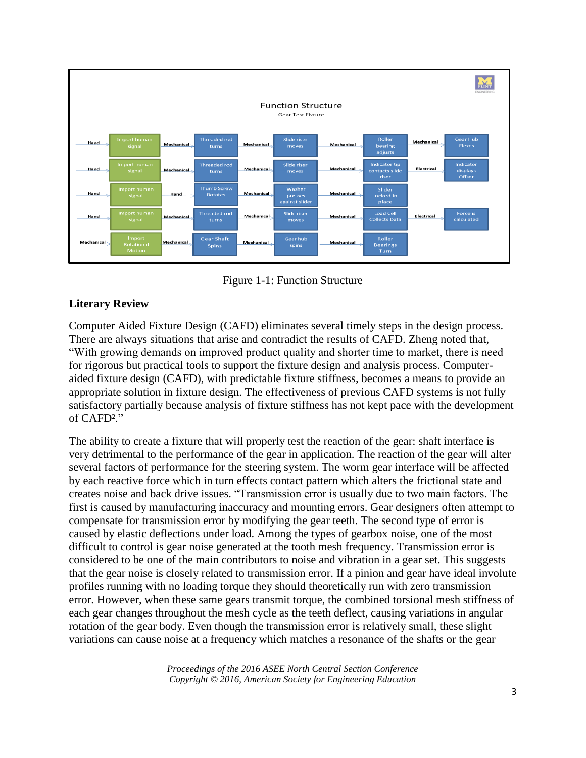

Figure 1-1: Function Structure

## **Literary Review**

Computer Aided Fixture Design (CAFD) eliminates several timely steps in the design process. There are always situations that arise and contradict the results of CAFD. Zheng noted that, "With growing demands on improved product quality and shorter time to market, there is need for rigorous but practical tools to support the fixture design and analysis process. Computeraided fixture design (CAFD), with predictable fixture stiffness, becomes a means to provide an appropriate solution in fixture design. The effectiveness of previous CAFD systems is not fully satisfactory partially because analysis of fixture stiffness has not kept pace with the development of CAFD²."

The ability to create a fixture that will properly test the reaction of the gear: shaft interface is very detrimental to the performance of the gear in application. The reaction of the gear will alter several factors of performance for the steering system. The worm gear interface will be affected by each reactive force which in turn effects contact pattern which alters the frictional state and creates noise and back drive issues. "Transmission error is usually due to two main factors. The first is caused by manufacturing inaccuracy and mounting errors. Gear designers often attempt to compensate for transmission error by modifying the gear teeth. The second type of error is caused by elastic deflections under load. Among the types of gearbox noise, one of the most difficult to control is gear noise generated at the tooth mesh frequency. Transmission error is considered to be one of the main contributors to noise and vibration in a gear set. This suggests that the gear noise is closely related to transmission error. If a pinion and gear have ideal involute profiles running with no loading torque they should theoretically run with zero transmission error. However, when these same gears transmit torque, the combined torsional mesh stiffness of each gear changes throughout the mesh cycle as the teeth deflect, causing variations in angular rotation of the gear body. Even though the transmission error is relatively small, these slight variations can cause noise at a frequency which matches a resonance of the shafts or the gear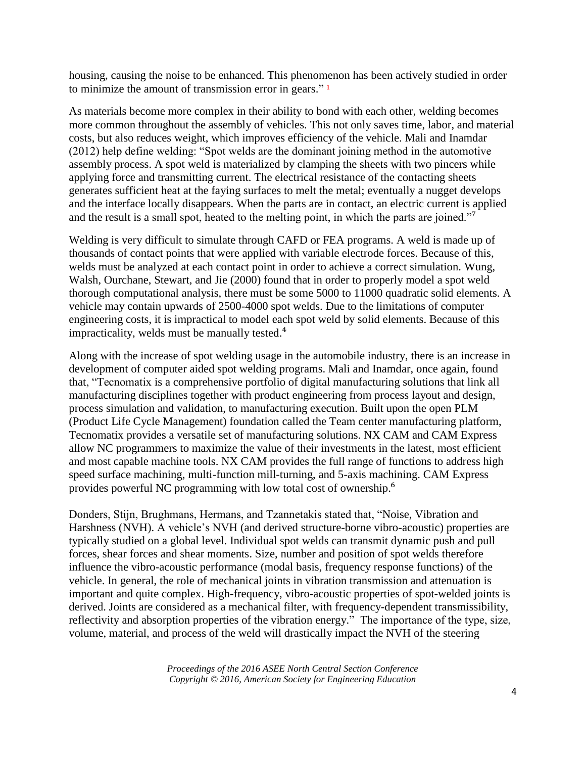housing, causing the noise to be enhanced. This phenomenon has been actively studied in order to minimize the amount of transmission error in gears." $\frac{1}{1}$ 

As materials become more complex in their ability to bond with each other, welding becomes more common throughout the assembly of vehicles. This not only saves time, labor, and material costs, but also reduces weight, which improves efficiency of the vehicle. Mali and Inamdar (2012) help define welding: "Spot welds are the dominant joining method in the automotive assembly process. A spot weld is materialized by clamping the sheets with two pincers while applying force and transmitting current. The electrical resistance of the contacting sheets generates sufficient heat at the faying surfaces to melt the metal; eventually a nugget develops and the interface locally disappears. When the parts are in contact, an electric current is applied and the result is a small spot, heated to the melting point, in which the parts are joined."<sup>7</sup>

Welding is very difficult to simulate through CAFD or FEA programs. A weld is made up of thousands of contact points that were applied with variable electrode forces. Because of this, welds must be analyzed at each contact point in order to achieve a correct simulation. Wung, Walsh, Ourchane, Stewart, and Jie (2000) found that in order to properly model a spot weld thorough computational analysis, there must be some 5000 to 11000 quadratic solid elements. A vehicle may contain upwards of 2500-4000 spot welds. Due to the limitations of computer engineering costs, it is impractical to model each spot weld by solid elements. Because of this impracticality, welds must be manually tested.<sup>4</sup>

Along with the increase of spot welding usage in the automobile industry, there is an increase in development of computer aided spot welding programs. Mali and Inamdar, once again, found that, "Tecnomatix is a comprehensive portfolio of digital manufacturing solutions that link all manufacturing disciplines together with product engineering from process layout and design, process simulation and validation, to manufacturing execution. Built upon the open PLM (Product Life Cycle Management) foundation called the Team center manufacturing platform, Tecnomatix provides a versatile set of manufacturing solutions. NX CAM and CAM Express allow NC programmers to maximize the value of their investments in the latest, most efficient and most capable machine tools. NX CAM provides the full range of functions to address high speed surface machining, multi-function mill-turning, and 5-axis machining. CAM Express provides powerful NC programming with low total cost of ownership.<sup>6</sup>

Donders, Stijn, Brughmans, Hermans, and Tzannetakis stated that, "Noise, Vibration and Harshness (NVH). A vehicle's NVH (and derived structure-borne vibro-acoustic) properties are typically studied on a global level. Individual spot welds can transmit dynamic push and pull forces, shear forces and shear moments. Size, number and position of spot welds therefore influence the vibro-acoustic performance (modal basis, frequency response functions) of the vehicle. In general, the role of mechanical joints in vibration transmission and attenuation is important and quite complex. High-frequency, vibro-acoustic properties of spot-welded joints is derived. Joints are considered as a mechanical filter, with frequency-dependent transmissibility, reflectivity and absorption properties of the vibration energy." The importance of the type, size, volume, material, and process of the weld will drastically impact the NVH of the steering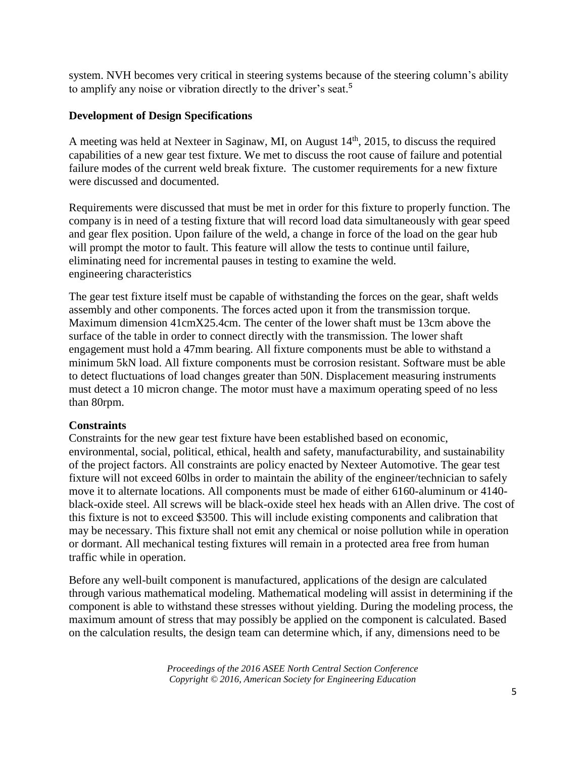system. NVH becomes very critical in steering systems because of the steering column's ability to amplify any noise or vibration directly to the driver's seat.<sup>5</sup>

## **Development of Design Specifications**

A meeting was held at Nexteer in Saginaw, MI, on August 14<sup>th</sup>, 2015, to discuss the required capabilities of a new gear test fixture. We met to discuss the root cause of failure and potential failure modes of the current weld break fixture. The customer requirements for a new fixture were discussed and documented.

Requirements were discussed that must be met in order for this fixture to properly function. The company is in need of a testing fixture that will record load data simultaneously with gear speed and gear flex position. Upon failure of the weld, a change in force of the load on the gear hub will prompt the motor to fault. This feature will allow the tests to continue until failure, eliminating need for incremental pauses in testing to examine the weld. engineering characteristics

The gear test fixture itself must be capable of withstanding the forces on the gear, shaft welds assembly and other components. The forces acted upon it from the transmission torque. Maximum dimension 41cmX25.4cm. The center of the lower shaft must be 13cm above the surface of the table in order to connect directly with the transmission. The lower shaft engagement must hold a 47mm bearing. All fixture components must be able to withstand a minimum 5kN load. All fixture components must be corrosion resistant. Software must be able to detect fluctuations of load changes greater than 50N. Displacement measuring instruments must detect a 10 micron change. The motor must have a maximum operating speed of no less than 80rpm.

### **Constraints**

Constraints for the new gear test fixture have been established based on economic, environmental, social, political, ethical, health and safety, manufacturability, and sustainability of the project factors. All constraints are policy enacted by Nexteer Automotive. The gear test fixture will not exceed 60lbs in order to maintain the ability of the engineer/technician to safely move it to alternate locations. All components must be made of either 6160-aluminum or 4140 black-oxide steel. All screws will be black-oxide steel hex heads with an Allen drive. The cost of this fixture is not to exceed \$3500. This will include existing components and calibration that may be necessary. This fixture shall not emit any chemical or noise pollution while in operation or dormant. All mechanical testing fixtures will remain in a protected area free from human traffic while in operation.

Before any well-built component is manufactured, applications of the design are calculated through various mathematical modeling. Mathematical modeling will assist in determining if the component is able to withstand these stresses without yielding. During the modeling process, the maximum amount of stress that may possibly be applied on the component is calculated. Based on the calculation results, the design team can determine which, if any, dimensions need to be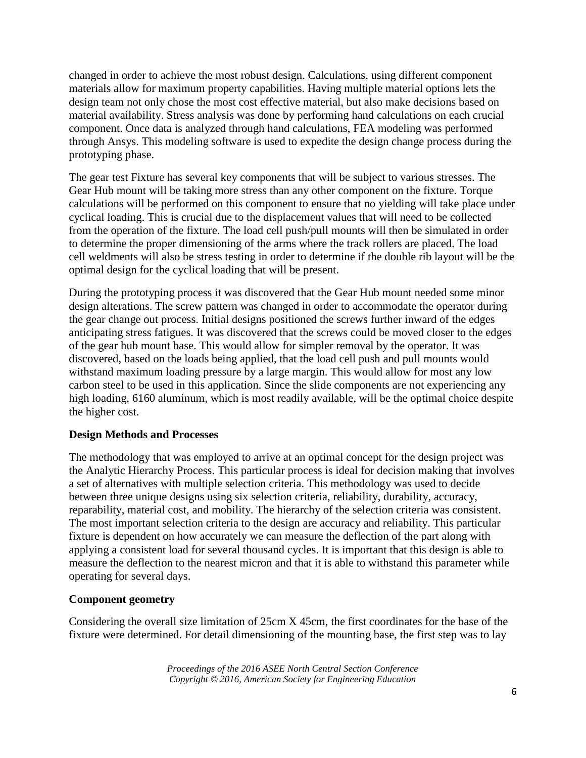changed in order to achieve the most robust design. Calculations, using different component materials allow for maximum property capabilities. Having multiple material options lets the design team not only chose the most cost effective material, but also make decisions based on material availability. Stress analysis was done by performing hand calculations on each crucial component. Once data is analyzed through hand calculations, FEA modeling was performed through Ansys. This modeling software is used to expedite the design change process during the prototyping phase.

The gear test Fixture has several key components that will be subject to various stresses. The Gear Hub mount will be taking more stress than any other component on the fixture. Torque calculations will be performed on this component to ensure that no yielding will take place under cyclical loading. This is crucial due to the displacement values that will need to be collected from the operation of the fixture. The load cell push/pull mounts will then be simulated in order to determine the proper dimensioning of the arms where the track rollers are placed. The load cell weldments will also be stress testing in order to determine if the double rib layout will be the optimal design for the cyclical loading that will be present.

During the prototyping process it was discovered that the Gear Hub mount needed some minor design alterations. The screw pattern was changed in order to accommodate the operator during the gear change out process. Initial designs positioned the screws further inward of the edges anticipating stress fatigues. It was discovered that the screws could be moved closer to the edges of the gear hub mount base. This would allow for simpler removal by the operator. It was discovered, based on the loads being applied, that the load cell push and pull mounts would withstand maximum loading pressure by a large margin. This would allow for most any low carbon steel to be used in this application. Since the slide components are not experiencing any high loading, 6160 aluminum, which is most readily available, will be the optimal choice despite the higher cost.

## **Design Methods and Processes**

The methodology that was employed to arrive at an optimal concept for the design project was the Analytic Hierarchy Process. This particular process is ideal for decision making that involves a set of alternatives with multiple selection criteria. This methodology was used to decide between three unique designs using six selection criteria, reliability, durability, accuracy, reparability, material cost, and mobility. The hierarchy of the selection criteria was consistent. The most important selection criteria to the design are accuracy and reliability. This particular fixture is dependent on how accurately we can measure the deflection of the part along with applying a consistent load for several thousand cycles. It is important that this design is able to measure the deflection to the nearest micron and that it is able to withstand this parameter while operating for several days.

### **Component geometry**

Considering the overall size limitation of 25cm X 45cm, the first coordinates for the base of the fixture were determined. For detail dimensioning of the mounting base, the first step was to lay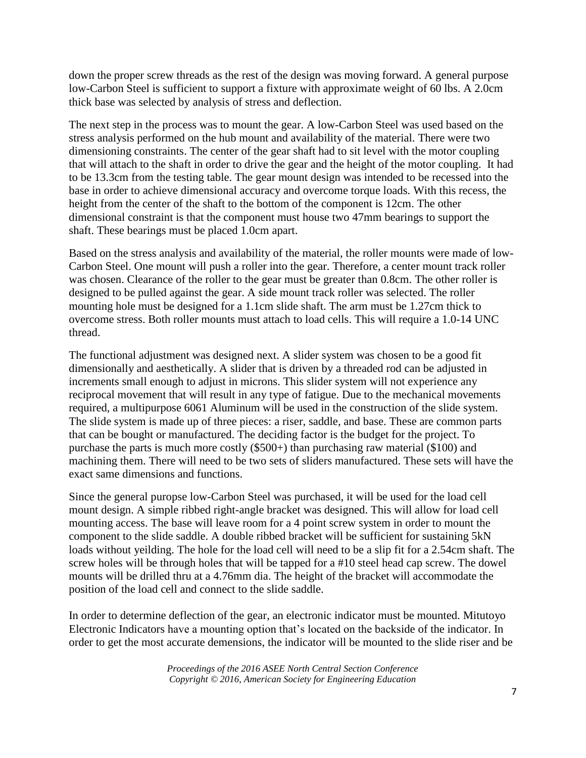down the proper screw threads as the rest of the design was moving forward. A general purpose low-Carbon Steel is sufficient to support a fixture with approximate weight of 60 lbs. A 2.0cm thick base was selected by analysis of stress and deflection.

The next step in the process was to mount the gear. A low-Carbon Steel was used based on the stress analysis performed on the hub mount and availability of the material. There were two dimensioning constraints. The center of the gear shaft had to sit level with the motor coupling that will attach to the shaft in order to drive the gear and the height of the motor coupling. It had to be 13.3cm from the testing table. The gear mount design was intended to be recessed into the base in order to achieve dimensional accuracy and overcome torque loads. With this recess, the height from the center of the shaft to the bottom of the component is 12cm. The other dimensional constraint is that the component must house two 47mm bearings to support the shaft. These bearings must be placed 1.0cm apart.

Based on the stress analysis and availability of the material, the roller mounts were made of low-Carbon Steel. One mount will push a roller into the gear. Therefore, a center mount track roller was chosen. Clearance of the roller to the gear must be greater than 0.8cm. The other roller is designed to be pulled against the gear. A side mount track roller was selected. The roller mounting hole must be designed for a 1.1cm slide shaft. The arm must be 1.27cm thick to overcome stress. Both roller mounts must attach to load cells. This will require a 1.0-14 UNC thread.

The functional adjustment was designed next. A slider system was chosen to be a good fit dimensionally and aesthetically. A slider that is driven by a threaded rod can be adjusted in increments small enough to adjust in microns. This slider system will not experience any reciprocal movement that will result in any type of fatigue. Due to the mechanical movements required, a multipurpose 6061 Aluminum will be used in the construction of the slide system. The slide system is made up of three pieces: a riser, saddle, and base. These are common parts that can be bought or manufactured. The deciding factor is the budget for the project. To purchase the parts is much more costly (\$500+) than purchasing raw material (\$100) and machining them. There will need to be two sets of sliders manufactured. These sets will have the exact same dimensions and functions.

Since the general puropse low-Carbon Steel was purchased, it will be used for the load cell mount design. A simple ribbed right-angle bracket was designed. This will allow for load cell mounting access. The base will leave room for a 4 point screw system in order to mount the component to the slide saddle. A double ribbed bracket will be sufficient for sustaining 5kN loads without yeilding. The hole for the load cell will need to be a slip fit for a 2.54cm shaft. The screw holes will be through holes that will be tapped for a #10 steel head cap screw. The dowel mounts will be drilled thru at a 4.76mm dia. The height of the bracket will accommodate the position of the load cell and connect to the slide saddle.

In order to determine deflection of the gear, an electronic indicator must be mounted. Mitutoyo Electronic Indicators have a mounting option that's located on the backside of the indicator. In order to get the most accurate demensions, the indicator will be mounted to the slide riser and be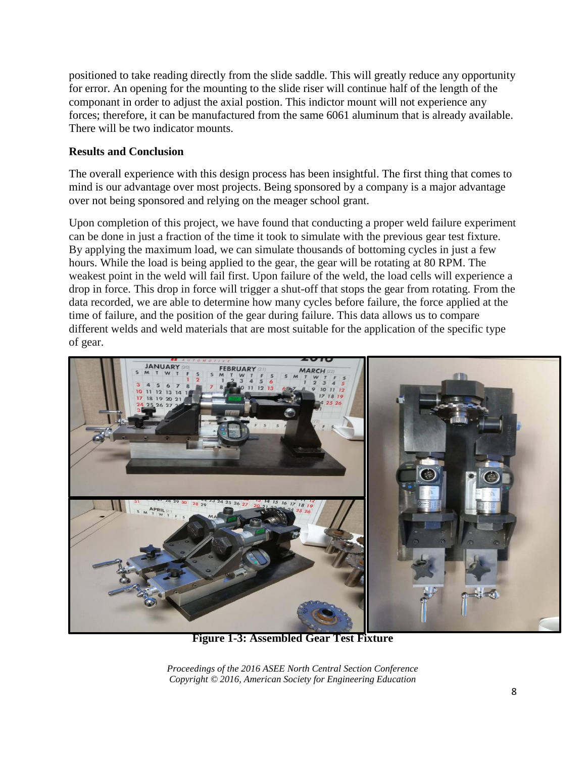positioned to take reading directly from the slide saddle. This will greatly reduce any opportunity for error. An opening for the mounting to the slide riser will continue half of the length of the componant in order to adjust the axial postion. This indictor mount will not experience any forces; therefore, it can be manufactured from the same 6061 aluminum that is already available. There will be two indicator mounts.

## **Results and Conclusion**

The overall experience with this design process has been insightful. The first thing that comes to mind is our advantage over most projects. Being sponsored by a company is a major advantage over not being sponsored and relying on the meager school grant.

Upon completion of this project, we have found that conducting a proper weld failure experiment can be done in just a fraction of the time it took to simulate with the previous gear test fixture. By applying the maximum load, we can simulate thousands of bottoming cycles in just a few hours. While the load is being applied to the gear, the gear will be rotating at 80 RPM. The weakest point in the weld will fail first. Upon failure of the weld, the load cells will experience a drop in force. This drop in force will trigger a shut-off that stops the gear from rotating. From the data recorded, we are able to determine how many cycles before failure, the force applied at the time of failure, and the position of the gear during failure. This data allows us to compare different welds and weld materials that are most suitable for the application of the specific type of gear.



**Figure 1-3: Assembled Gear Test Fixture**